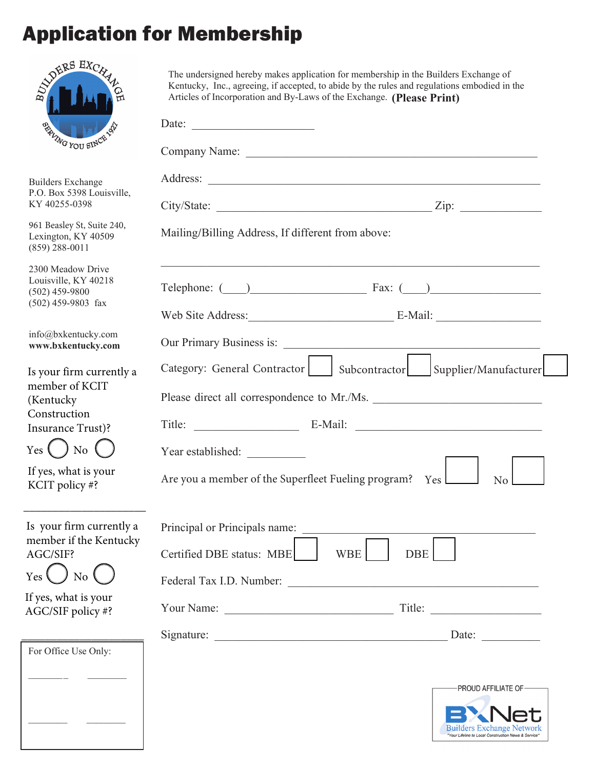# Application for Membership

| ANDERS HYCK                                                                                                                             | The undersigned hereby makes application for membership in the Builders Exchange of<br>Kentucky, Inc., agreeing, if accepted, to abide by the rules and regulations embodied in the<br>Articles of Incorporation and By-Laws of the Exchange. (Please Print) |  |  |  |
|-----------------------------------------------------------------------------------------------------------------------------------------|--------------------------------------------------------------------------------------------------------------------------------------------------------------------------------------------------------------------------------------------------------------|--|--|--|
| <b>BALWG YOU SINCE AND</b>                                                                                                              | Date: $\frac{1}{\sqrt{1-\frac{1}{2}} \cdot \frac{1}{2}}$                                                                                                                                                                                                     |  |  |  |
|                                                                                                                                         |                                                                                                                                                                                                                                                              |  |  |  |
| <b>Builders Exchange</b><br>P.O. Box 5398 Louisville,<br>KY 40255-0398                                                                  |                                                                                                                                                                                                                                                              |  |  |  |
| 961 Beasley St, Suite 240,<br>Lexington, KY 40509<br>$(859)$ 288-0011                                                                   | $City/State:$ $Zip:$<br>Mailing/Billing Address, If different from above:                                                                                                                                                                                    |  |  |  |
| 2300 Meadow Drive<br>Louisville, KY 40218<br>$(502)$ 459-9800<br>$(502)$ 459-9803 fax                                                   | Telephone: $\qquad)$ Fax: $\qquad)$<br>Web Site Address: E-Mail:                                                                                                                                                                                             |  |  |  |
| info@bxkentucky.com<br>www.bxkentucky.com                                                                                               |                                                                                                                                                                                                                                                              |  |  |  |
| Is your firm currently a<br>member of KCIT<br>(Kentucky)<br>Construction<br>Insurance Trust)?<br>Yes $\left( \quad \right)$ No $\left($ | Category: General Contractor   Subcontractor   Supplier/Manufacturer<br>Please direct all correspondence to Mr./Ms.                                                                                                                                          |  |  |  |
| If yes, what is your<br>KCIT policy #?                                                                                                  | Are you a member of the Superfleet Fueling program? Yes<br>No                                                                                                                                                                                                |  |  |  |
| Is your firm currently a<br>member if the Kentucky<br>AGC/SIF?<br>No                                                                    | Principal or Principals name:<br>Certified DBE status: MBE<br><b>WBE</b><br>DBE                                                                                                                                                                              |  |  |  |
| If yes, what is your<br>AGC/SIF policy #?                                                                                               |                                                                                                                                                                                                                                                              |  |  |  |
|                                                                                                                                         | Date: $\qquad \qquad \qquad$                                                                                                                                                                                                                                 |  |  |  |
| For Office Use Only:                                                                                                                    | PROUD AFFILIATE OF-                                                                                                                                                                                                                                          |  |  |  |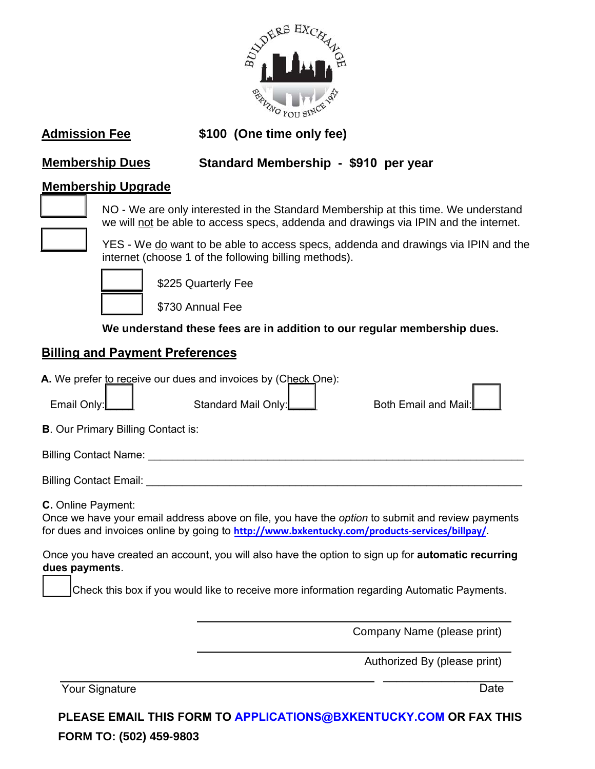

**Admission Fee \$100 (One time only fee)**

# **Membership Dues Standard Membership - \$910 per year**

### **Membership Upgrade**



NO - We are only interested in the Standard Membership at this time. We understand we will not be able to access specs, addenda and drawings via IPIN and the internet.



YES - We do want to be able to access specs, addenda and drawings via IPIN and the internet (choose 1 of the following billing methods).



\$225 Quarterly Fee

\$730 Annual Fee

#### **We understand these fees are in addition to our regular membership dues.**

### **Billing and Payment Preferences**

| Email Only:                               | A. We prefer to receive our dues and invoices by (Check One):<br>Standard Mail Only:          | Both Email and Mail:                                                                                      |
|-------------------------------------------|-----------------------------------------------------------------------------------------------|-----------------------------------------------------------------------------------------------------------|
| <b>B.</b> Our Primary Billing Contact is: |                                                                                               |                                                                                                           |
| Billing Contact Name:                     |                                                                                               |                                                                                                           |
| Billing Contact Email:                    |                                                                                               |                                                                                                           |
| C. Online Payment:                        | for dues and invoices online by going to http://www.bxkentucky.com/products-services/billpay/ | Once we have your email address above on file, you have the option to submit and review payments          |
| dues payments.                            |                                                                                               | Once you have created an account, you will also have the option to sign up for <b>automatic recurring</b> |
|                                           |                                                                                               | Check this box if you would like to receive more information regarding Automatic Payments.                |
|                                           |                                                                                               |                                                                                                           |
|                                           |                                                                                               | Company Name (please print)                                                                               |

Authorized By (please print)

Your Signature

\_\_\_\_\_\_\_\_\_\_\_\_\_\_\_\_\_\_\_\_ Date

**PLEASE EMAIL THIS FORM TO APPLICATIONS[@BXKENTUCKY.COM](mailto:info@bxkentucky.com) OR FAX THIS FORM TO: (502) 459-9803**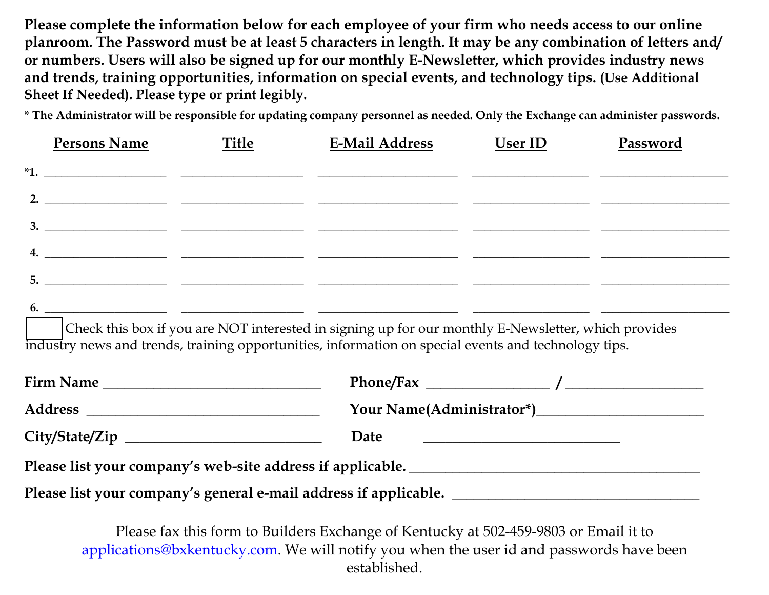**Please complete the information below for each employee of your firm who needs access to our online planroom. The Password must be at least <sup>5</sup> characters in length. It may be any combination of letters and/ or numbers. Users will also be signed up for our monthly E-Newsletter, which provides industry news and trends, training opportunities, information on special events, and technology tips. (Use Additional Sheet If Needed). Please type or print legibly.**

**\* The Administrator will be responsible for updating company personnel as needed. Only the Exchange can administer passwords.**

|    | <b>Persons Name</b> | <b>Title</b> | <b>E-Mail Address</b> | User ID | Password |
|----|---------------------|--------------|-----------------------|---------|----------|
|    |                     |              | $\overline{a}$ *1.    |         |          |
|    |                     |              |                       |         |          |
|    |                     |              |                       |         |          |
|    |                     |              |                       |         |          |
| 5. |                     |              |                       |         |          |

**6. \_\_\_\_\_\_\_\_\_\_\_\_\_\_\_\_\_\_\_\_\_ \_\_\_\_\_\_\_\_\_\_\_\_\_\_\_\_\_\_\_\_\_ \_\_\_\_\_\_\_\_\_\_\_\_\_\_\_\_\_\_\_\_\_\_\_\_ \_\_\_\_\_\_\_\_\_\_\_\_\_\_\_\_\_\_\_\_ \_\_\_\_\_\_\_\_\_\_\_\_\_\_\_\_\_\_\_\_\_\_**

Check this box if you are NOT interested in signing up for our monthly E-Newsletter, which provides industry news and trends, training opportunities, information on special events and technology tips.

|                                                                                                      | Date |  |  |
|------------------------------------------------------------------------------------------------------|------|--|--|
| Please list your company's web-site address if applicable. ______________________                    |      |  |  |
| Please list your company's general e-mail address if applicable. ___________________________________ |      |  |  |

Please fax this form to Builders Exchange of Kentucky at 502-459-9803 or Email it to applications@bxkentucky.com. We will notify you when the user id and passwords have been established.